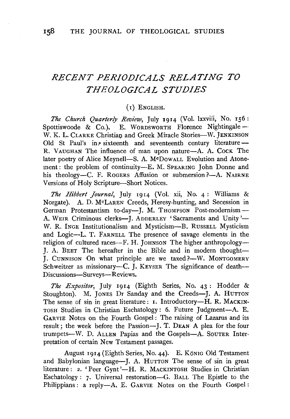# *RECENT PERIODICALS RELATING TO THEOLOGICAL STUDIES*

## (I) ENGLISH.

*The Church Quarterly Review,* July 1914 (Vol. lxxviii, No. 156: Spottiswoode & Co.). E. WORDSWORTH Florence Nightingale-W. K. L. CLARKE Christian and Greek Miracle Stories-W. JENKINSON Old St Paul's in  $\beta$  sixteenth and seventeenth century literature --R. VAUGHAN The influence of man upon nature-A. A. Cock The later poetry of Alice Meynell-S. A. McDowALL Evolution and Atonement: the problem of continuity--E. M. SPEARING John Donne and his theology-C. F. ROGERS Affusion or submersion ?-- A. NAIRNE Versions of Holy Scripture-Short Notices.

*The Hibbert Journal,* July 1914 (Vol. xii, No. 4: Williams & Norgate). A. D. McLAREN Creeds, Heresy-hunting, and Secession in German Protestantism to-day---J. M. THOMPSON Post-modernism--A. WEIR Criminous clerks-I. ADDERLEY 'Sacraments and Unity'-W. R. INGE Institutionalism and Mysticism-B. RUSSELL Mysticism and Logic-L. T. FARNELL The presence of savage elements in the religion of cultured races—F. H. JOHNSON The higher anthropology— **J. A. BEET The hereafter in the Bible and in modern thought-***J.* CUNNISON On what principle are we taxed?-W. MONTGOMERY Schweitzer as missionary—C.  $\overline{I}$ . KEYSER The significance of death— Discussions-Surveys-Reviews.

*The Expositor,* July 1914 (Eighth Series, No. 43 : Hodder & Stoughton). M. JONES Dr Sanday and the Creeds-J. A. HUTTON The sense of sin in great literature: 1. Introductory-H. R. MACKIN-TOSH Studies in Christian Eschatology: 6. Future Judgment-A. E. GARVIE Notes on the Fourth Gospel: The raising of Lazarus and its result ; the week before the Passion-J. T. DEAN A plea for the four trumpets-W. D. ALLEN Papias and the Gospels-A. SouTER Interpretation of certain New Testament passages.

August 1914 (Eighth Series, No. 44). E. König Old Testament and Babylonian language-J. A. HUTTON The sense of sin in great literature: 2. 'Peer Gynt'-H. R. MACKINTOSH Studies in Christian Eschatology: 7. Universal restoration-G. BALL The Epistle to the Philippians: a reply-A. E. GARVIE Notes on the Fourth Gospel: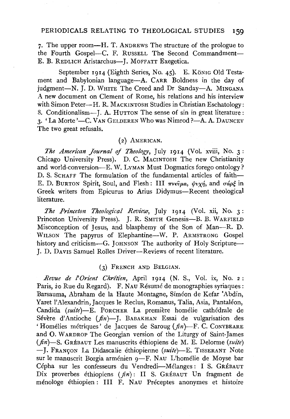### PERIODICALS RELATING TO THEOLOGICAL STUDIES **159**

7· The upper room-H. T. ANDREWS The structure of the prologue to the Fourth Gospel-C. F. RussELL The Second Commandment-E. B. REDLICH Aristarchus-J. MOFFATT Exegetica.

September 1914 (Eighth Series, No. 45). E. König Old Testament and Babylonian language-A. CARR Boldness in the day of judgment-N. J. D. WHITE The Creed and Dr Sanday-A. MINGANA A new document on Clement of Rome, his relations and his interview with Simon Peter-H. R. MACKINTOSH Studies in Christian Eschatology: 8. Conditionalism--- J. A. HUTTON The sense of sin in great literature: 3. 'La Morte'—C. VAN GELDEREN Who was Nimrod ?- A. A. DAUNCEY The two great refusals.

### (2) AMERICAN.

*The American Journal of Theology,* July 1914 (Vol. xviii, No. 3: Chicago University Press). D. C. MACINTOSH The new Christianity and world-conversion-E. W. LvMAN Must Dogmatics forego ontology? D. S. SCHAFF The formulation of the fundamental articles of faith-E. D. BURTON Spirit, Soul, and Flesh: III  $\pi\nu\epsilon\hat{\nu}\mu a$ ,  $\psi\nu\chi\eta$ , and  $\sigma\acute{a}\rho\acute{\xi}$  in Greek writers from Epicurus to Arius Didymus-Recent theological literature.

*The Princeton Theological Review,* July 1914 (Vol. xii, No. 3: Princeton University Press). J. R. SMITH Genesis-B. B. WARFIELD Misconception of Jesus, and blasphemy of the Son of Man-R. D. WILSON The papyrus of Elephantine-W. P. ARMSTRONG Gospel history and criticism-G. JOHNSON The authority of Holy Scripture-}. D. DAVIS Samuel Rolles Driver-Reviews of recent literature.

#### (3) FRENCH AND BELGIAN.

*Revue de l'Orient Chrétien*, April 1914 (N. S., Vol. ix, No. 2: Paris, 20 Rue du Regard). F. NAU Résumé de monographies syriaques : Barsauma, Abraham de la Haute Montagne, Simeon de Kefar 'Abdin, Yaret l'Alexandrin, Jacques le Reclus, Romanus, Talia, Asia, Pantaléon, Candida *(suite)-E.* PoRCHER La premiere homelie cathedrale de Sévère d'Antioche ( $fn$ )-J. BABAKHAN Essai de vulgarisation des 'Homélies métriques' de Jacques de Saroug ( $\hat{\pi}n$ )-F. C. CONYBEARE and 0. WARDROP The Georgian version of the Liturgy of Saint-James  $(f_n)$ -S. GREBAUT Les manuscrits éthiopiens de M. E. Delorme *(suite)* - **J.** FRAN90N La Didascalie ethiopienne *(suite)-*E. TISSERANT Note sur le manuscrit Borgia arménien 9-F. NAU L'homélie de Moyse bar Cépha sur les confesseurs du Vendredi-Mélanges: I S. GRÉBAUT Dix proverbes éthiopiens (fin): II S. GRÉBAUT Un fragment de menologe ethiopien: Ill F. NAU Preceptes anonymes et histoire